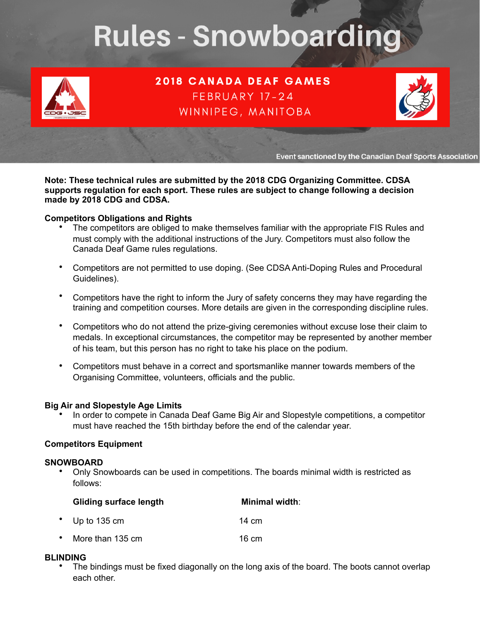# **Rules - Snowboarding**



**2018 CANADA DEAF GAMES** FEBRUARY 17-24 WINNIPEG, MANITOBA



Event sanctioned by the Canadian Deaf Sports Association

**Note: These technical rules are submitted by the 2018 CDG Organizing Committee. CDSA supports regulation for each sport. These rules are subject to change following a decision made by 2018 CDG and CDSA.** 

#### **Competitors Obligations and Rights**

- The competitors are obliged to make themselves familiar with the appropriate FIS Rules and must comply with the additional instructions of the Jury. Competitors must also follow the Canada Deaf Game rules regulations.
- Competitors are not permitted to use doping. (See CDSA Anti-Doping Rules and Procedural Guidelines).
- Competitors have the right to inform the Jury of safety concerns they may have regarding the training and competition courses. More details are given in the corresponding discipline rules.
- Competitors who do not attend the prize-giving ceremonies without excuse lose their claim to medals. In exceptional circumstances, the competitor may be represented by another member of his team, but this person has no right to take his place on the podium.
- Competitors must behave in a correct and sportsmanlike manner towards members of the Organising Committee, volunteers, officials and the public.

#### **Big Air and Slopestyle Age Limits**

• In order to compete in Canada Deaf Game Big Air and Slopestyle competitions, a competitor must have reached the 15th birthday before the end of the calendar year.

#### **Competitors Equipment**

#### **SNOWBOARD**

• Only Snowboards can be used in competitions. The boards minimal width is restricted as follows:

|           | <b>Gliding surface length</b> | <b>Minimal width:</b> |
|-----------|-------------------------------|-----------------------|
| $\bullet$ | Up to $135 \text{ cm}$        | 14 cm                 |
|           | • More than 135 cm            | $16 \text{ cm}$       |

#### **BLINDING**

The bindings must be fixed diagonally on the long axis of the board. The boots cannot overlap each other.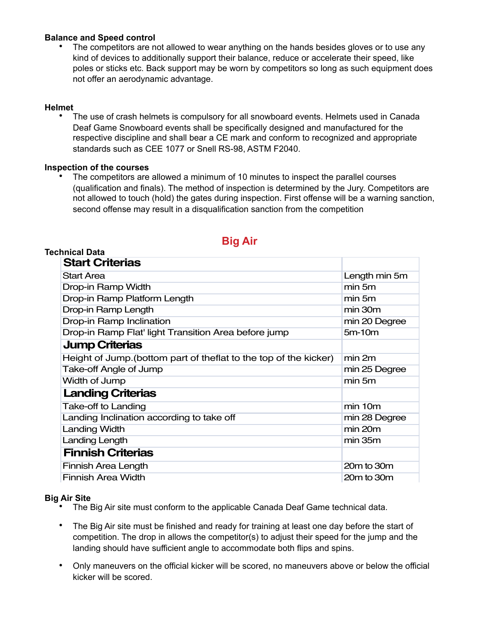#### **Balance and Speed control**

• The competitors are not allowed to wear anything on the hands besides gloves or to use any kind of devices to additionally support their balance, reduce or accelerate their speed, like poles or sticks etc. Back support may be worn by competitors so long as such equipment does not offer an aerodynamic advantage.

#### **Helmet**

• The use of crash helmets is compulsory for all snowboard events. Helmets used in Canada Deaf Game Snowboard events shall be specifically designed and manufactured for the respective discipline and shall bear a CE mark and conform to recognized and appropriate standards such as CEE 1077 or Snell RS-98, ASTM F2040.

#### **Inspection of the courses**

• The competitors are allowed a minimum of 10 minutes to inspect the parallel courses (qualification and finals). The method of inspection is determined by the Jury. Competitors are not allowed to touch (hold) the gates during inspection. First offense will be a warning sanction, second offense may result in a disqualification sanction from the competition

| <u>siyaan </u>                                                    |               |
|-------------------------------------------------------------------|---------------|
| Technical Data                                                    |               |
| <b>Start Criterias</b>                                            |               |
| <b>Start Area</b>                                                 | Length min 5m |
| Drop-in Ramp Width                                                | min 5m        |
| Drop-in Ramp Platform Length                                      | min 5m        |
| Drop-in Ramp Length                                               | min 30m       |
| Drop-in Ramp Inclination                                          | min 20 Degree |
| Drop-in Ramp Flat' light Transition Area before jump              | $5m-10m$      |
| <b>Jump Criterias</b>                                             |               |
| Height of Jump. (bottom part of theflat to the top of the kicker) | min 2m        |
| Take-off Angle of Jump                                            | min 25 Degree |
| Width of Jump                                                     | min 5m        |
| <b>Landing Criterias</b>                                          |               |
| <b>Take-off to Landing</b>                                        | min 10m       |
| Landing Inclination according to take off                         | min 28 Degree |
| <b>Landing Width</b>                                              | min 20m       |
| Landing Length                                                    | $min$ 35 $m$  |
| <b>Finnish Criterias</b>                                          |               |
| Finnish Area Length                                               | 20m to 30m    |
| <b>Finnish Area Width</b>                                         | 20m to 30m    |

## **Big Air**

#### **Big Air Site**

- The Big Air site must conform to the applicable Canada Deaf Game technical data.
- The Big Air site must be finished and ready for training at least one day before the start of competition. The drop in allows the competitor(s) to adjust their speed for the jump and the landing should have sufficient angle to accommodate both flips and spins.
- Only maneuvers on the official kicker will be scored, no maneuvers above or below the official kicker will be scored.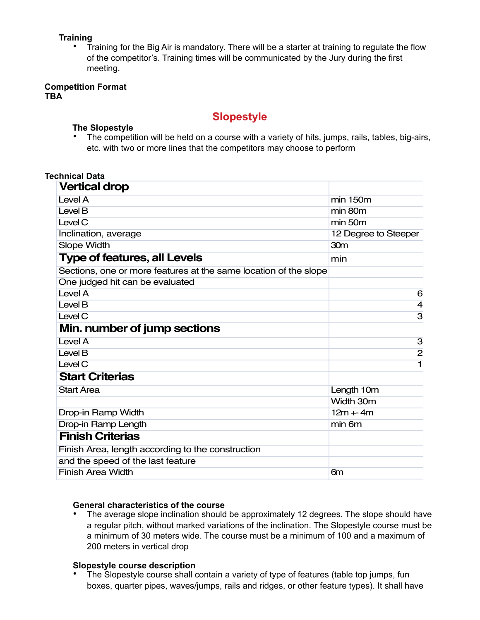# **Training**

• Training for the Big Air is mandatory. There will be a starter at training to regulate the flow of the competitor's. Training times will be communicated by the Jury during the first meeting.

#### **Competition Format TBA**

## **Slopestyle**

#### **The Slopestyle**

• The competition will be held on a course with a variety of hits, jumps, rails, tables, big-airs, etc. with two or more lines that the competitors may choose to perform

| <b>Technical Data</b>                                            |                      |
|------------------------------------------------------------------|----------------------|
| <b>Vertical drop</b>                                             |                      |
| Level A                                                          | min 150m             |
| Level B                                                          | min 80m              |
| Level C                                                          | min 50m              |
| Inclination, average                                             | 12 Degree to Steeper |
| <b>Slope Width</b>                                               | 30 <sub>m</sub>      |
| <b>Type of features, all Levels</b>                              | min                  |
| Sections, one or more features at the same location of the slope |                      |
| One judged hit can be evaluated                                  |                      |
| Level A                                                          | 6                    |
| Level B                                                          | 4                    |
| Level C                                                          | 3                    |
| Min. number of jump sections                                     |                      |
| Level A                                                          | 3                    |
| Level B                                                          | $\overline{c}$       |
| Level C                                                          | 1                    |
| <b>Start Criterias</b>                                           |                      |
| <b>Start Area</b>                                                | Length 10m           |
|                                                                  | Width 30m            |
| Drop-in Ramp Width                                               | $12m + 4m$           |
| Drop-in Ramp Length                                              | min 6m               |
| <b>Finish Criterias</b>                                          |                      |
| Finish Area, length according to the construction                |                      |
| and the speed of the last feature                                |                      |
| <b>Finish Area Width</b>                                         | 6m                   |

#### **General characteristics of the course**

• The average slope inclination should be approximately 12 degrees. The slope should have a regular pitch, without marked variations of the inclination. The Slopestyle course must be a minimum of 30 meters wide. The course must be a minimum of 100 and a maximum of 200 meters in vertical drop

#### **Slopestyle course description**

• The Slopestyle course shall contain a variety of type of features (table top jumps, fun boxes, quarter pipes, waves/jumps, rails and ridges, or other feature types). It shall have